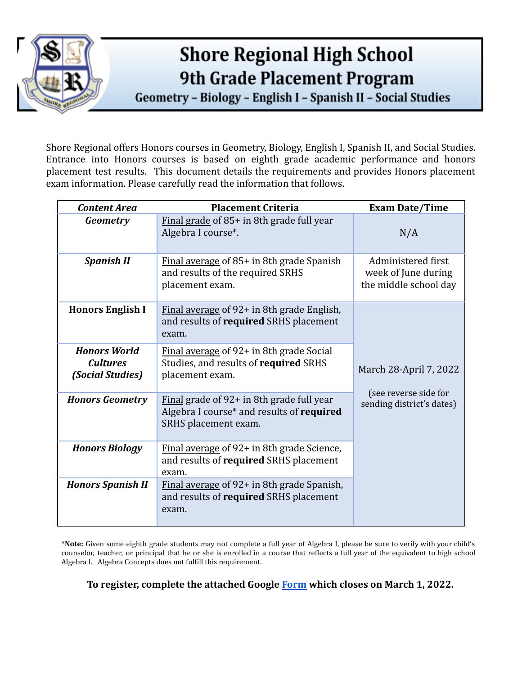

# **Shore Regional High School 9th Grade Placement Program**

Geometry - Biology - English I - Spanish II - Social Studies

Shore Regional offers Honors courses in Geometry, Biology, English I, Spanish II, and Social Studies. Entrance into Honors courses is based on eighth grade academic performance and honors placement test results. This document details the requirements and provides Honors placement exam information. Please carefully read the information that follows.

| <b>Content Area</b>                                        | <b>Placement Criteria</b>                                                                                      | <b>Exam Date/Time</b>                                                        |  |
|------------------------------------------------------------|----------------------------------------------------------------------------------------------------------------|------------------------------------------------------------------------------|--|
| Geometry                                                   | Final grade of 85+ in 8th grade full year<br>Algebra I course*.                                                | N/A                                                                          |  |
| <b>Spanish II</b>                                          | Final average of 85+ in 8th grade Spanish<br>and results of the required SRHS<br>placement exam.               | Administered first<br>week of June during<br>the middle school day           |  |
| <b>Honors English I</b>                                    | Final average of 92+ in 8th grade English,<br>and results of required SRHS placement<br>exam.                  | March 28-April 7, 2022<br>(see reverse side for<br>sending district's dates) |  |
| <b>Honors World</b><br><b>Cultures</b><br>(Social Studies) | Final average of 92+ in 8th grade Social<br>Studies, and results of required SRHS<br>placement exam.           |                                                                              |  |
| <b>Honors Geometry</b>                                     | Final grade of 92+ in 8th grade full year<br>Algebra I course* and results of required<br>SRHS placement exam. |                                                                              |  |
| <b>Honors Biology</b>                                      | Final average of 92+ in 8th grade Science,<br>and results of required SRHS placement<br>exam.                  |                                                                              |  |
| <b>Honors Spanish II</b>                                   | Final average of 92+ in 8th grade Spanish,<br>and results of required SRHS placement<br>exam.                  |                                                                              |  |

**\*Note:** Given some eighth grade students may not complete a full year of Algebra I, please be sure to verify with your child's counselor, teacher, or principal that he or she is enrolled in a course that reflects a full year of the equivalent to high school Algebra I. Algebra Concepts does not fulfill this requirement.

**To register, complete the attached Google [Form](https://docs.google.com/forms/d/e/1FAIpQLScjdMgXb3XDvYIiw-HynNXsU4wUwJP7UVAF1SwGCrKiBSVodQ/viewform?usp=sf_link) which closes on March 1, 2022.**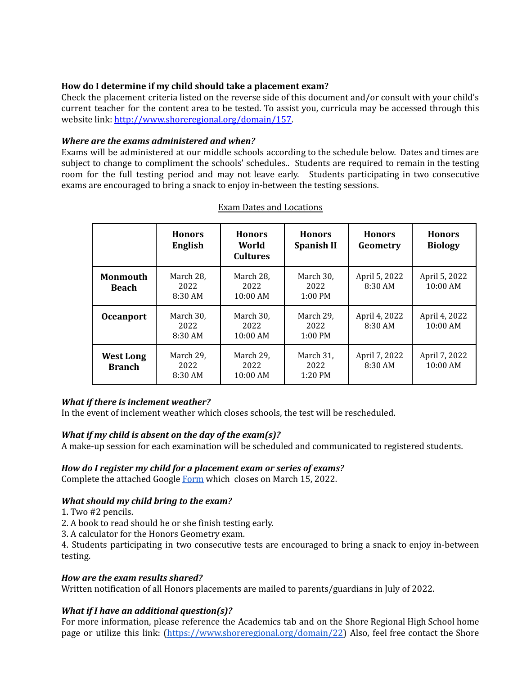## **How do I determine if my child should take a placement exam?**

Check the placement criteria listed on the reverse side of this document and/or consult with your child's current teacher for the content area to be tested. To assist you, curricula may be accessed through this website link: <http://www.shoreregional.org/domain/157>.

#### *Where are the exams administered and when?*

Exams will be administered at our middle schools according to the schedule below. Dates and times are subject to change to compliment the schools' schedules.. Students are required to remain in the testing room for the full testing period and may not leave early. Students participating in two consecutive exams are encouraged to bring a snack to enjoy in-between the testing sessions.

|                                   | <b>Honors</b><br>English       | <b>Honors</b><br>World<br><b>Cultures</b> | <b>Honors</b><br><b>Spanish II</b> | <b>Honors</b><br>Geometry  | <b>Honors</b><br><b>Biology</b> |
|-----------------------------------|--------------------------------|-------------------------------------------|------------------------------------|----------------------------|---------------------------------|
| <b>Monmouth</b><br><b>Beach</b>   | March 28,<br>2022<br>$8:30$ AM | March 28,<br>2022<br>$10:00$ AM           | March 30,<br>2022<br>$1:00$ PM     | April 5, 2022<br>$8:30$ AM | April 5, 2022<br>10:00 AM       |
| <b>Oceanport</b>                  | March 30,<br>2022<br>8:30 AM   | March 30,<br>2022<br>10:00 AM             | March 29,<br>2022<br>$1:00$ PM     | April 4, 2022<br>$8:30$ AM | April 4, 2022<br>10:00 AM       |
| <b>West Long</b><br><b>Branch</b> | March 29,<br>2022<br>8:30 AM   | March 29,<br>2022<br>10:00 AM             | March 31,<br>2022<br>$1:20$ PM     | April 7, 2022<br>8:30 AM   | April 7, 2022<br>$10:00$ AM     |

#### Exam Dates and Locations

## *What if there is inclement weather?*

In the event of inclement weather which closes schools, the test will be rescheduled.

## *What if my child is absent on the day of the exam(s)?*

A make-up session for each examination will be scheduled and communicated to registered students.

#### *How do I register my child for a placement exam or series of exams?*

Complete the attached Google [Form](https://docs.google.com/forms/d/e/1FAIpQLScjdMgXb3XDvYIiw-HynNXsU4wUwJP7UVAF1SwGCrKiBSVodQ/viewform?usp=sf_link) which closes on March 15, 2022.

#### *What should my child bring to the exam?*

1. Two #2 pencils.

- 2. A book to read should he or she finish testing early.
- 3. A calculator for the Honors Geometry exam.

4. Students participating in two consecutive tests are encouraged to bring a snack to enjoy in-between testing.

#### *How are the exam results shared?*

Written notification of all Honors placements are mailed to parents/guardians in July of 2022.

## *What if I have an additional question(s)?*

For more information, please reference the Academics tab and on the Shore Regional High School home page or utilize this link: [\(https://www.shoreregional.org/domain/22\)](https://www.shoreregional.org/domain/22) Also, feel free contact the Shore